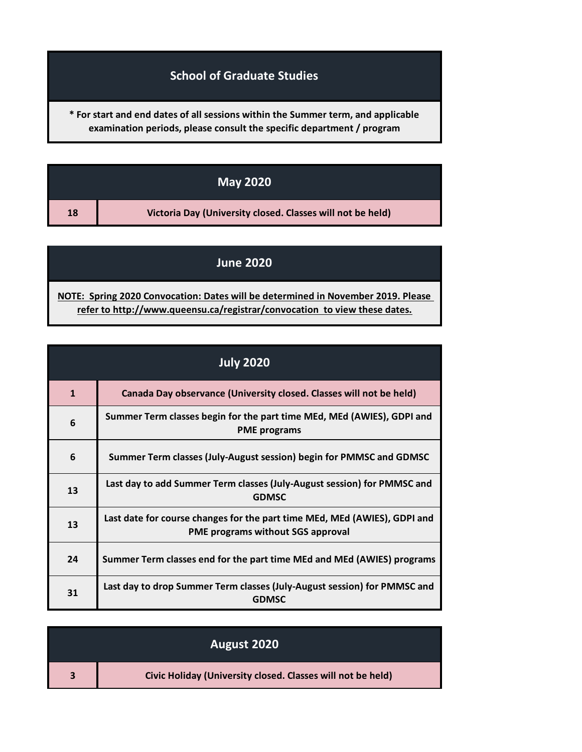## **School of Graduate Studies**

**\* For start and end dates of all sessions within the Summer term, and applicable examination periods, please consult the specific department / program**

| <b>May 2020</b> |                                                            |
|-----------------|------------------------------------------------------------|
| 18              | Victoria Day (University closed. Classes will not be held) |

## **June 2020**

**[NOTE: Sp](http://www.queensu.ca/registrar/convocation)ring 2020 Convocation: Dates will be determined in November 2019. Please [refer](http://www.queensu.ca/registrar/convocation) to http://www.queensu.ca/registrar/convocation to view these dates.**

| <b>July 2020</b> |                                                                                                                       |
|------------------|-----------------------------------------------------------------------------------------------------------------------|
| $\mathbf{1}$     | Canada Day observance (University closed. Classes will not be held)                                                   |
| 6                | Summer Term classes begin for the part time MEd, MEd (AWIES), GDPI and<br><b>PME</b> programs                         |
| 6                | Summer Term classes (July-August session) begin for PMMSC and GDMSC                                                   |
| 13               | Last day to add Summer Term classes (July-August session) for PMMSC and<br><b>GDMSC</b>                               |
| 13               | Last date for course changes for the part time MEd, MEd (AWIES), GDPI and<br><b>PME programs without SGS approval</b> |
| 24               | Summer Term classes end for the part time MEd and MEd (AWIES) programs                                                |
| 31               | Last day to drop Summer Term classes (July-August session) for PMMSC and<br><b>GDMSC</b>                              |

| August 2020 |                                                             |
|-------------|-------------------------------------------------------------|
|             | Civic Holiday (University closed. Classes will not be held) |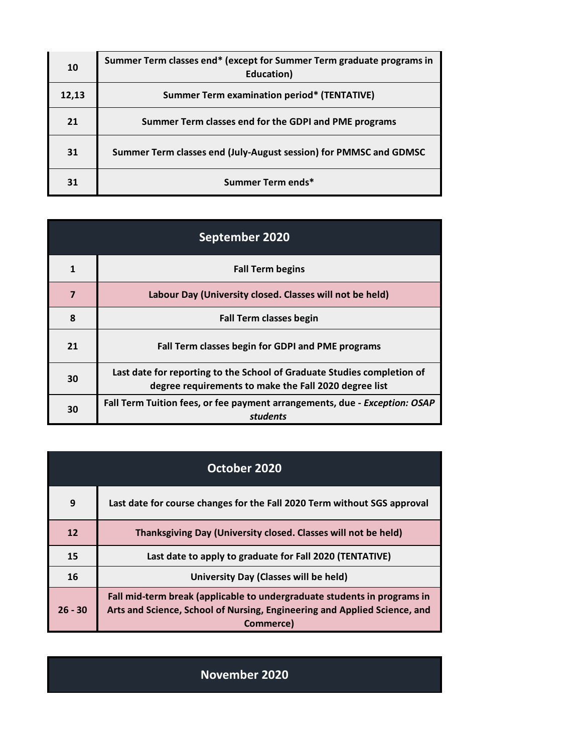| 10    | Summer Term classes end* (except for Summer Term graduate programs in<br>Education) |
|-------|-------------------------------------------------------------------------------------|
| 12,13 | <b>Summer Term examination period* (TENTATIVE)</b>                                  |
| 21    | Summer Term classes end for the GDPI and PME programs                               |
| 31    | Summer Term classes end (July-August session) for PMMSC and GDMSC                   |
| 31    | Summer Term ends*                                                                   |

| September 2020          |                                                                                                                                  |
|-------------------------|----------------------------------------------------------------------------------------------------------------------------------|
|                         | <b>Fall Term begins</b>                                                                                                          |
| $\overline{\mathbf{z}}$ | Labour Day (University closed. Classes will not be held)                                                                         |
| 8                       | <b>Fall Term classes begin</b>                                                                                                   |
| 21                      | Fall Term classes begin for GDPI and PME programs                                                                                |
| 30                      | Last date for reporting to the School of Graduate Studies completion of<br>degree requirements to make the Fall 2020 degree list |
| 30                      | Fall Term Tuition fees, or fee payment arrangements, due - Exception: OSAP<br>students                                           |

| October 2020 |                                                                                                                                                                    |
|--------------|--------------------------------------------------------------------------------------------------------------------------------------------------------------------|
| 9            | Last date for course changes for the Fall 2020 Term without SGS approval                                                                                           |
| 12           | Thanksgiving Day (University closed. Classes will not be held)                                                                                                     |
| 15           | Last date to apply to graduate for Fall 2020 (TENTATIVE)                                                                                                           |
| 16           | University Day (Classes will be held)                                                                                                                              |
| $26 - 30$    | Fall mid-term break (applicable to undergraduate students in programs in<br>Arts and Science, School of Nursing, Engineering and Applied Science, and<br>Commerce) |

**November 2020**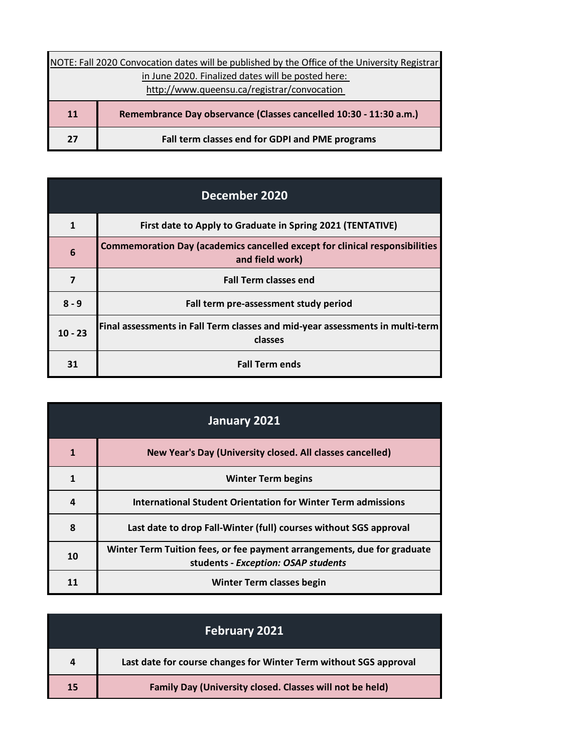| NOTE: Fall 2020 Convocation dates will be published by the Office of the University Registrar |  |
|-----------------------------------------------------------------------------------------------|--|
| in June 2020. Finalized dates will be posted here:                                            |  |
| http://www.queensu.ca/registrar/convocation                                                   |  |
| Remembrance Day observance (Classes cancelled 10:30 - 11:30 a.m.)                             |  |
| Fall term classes end for GDPI and PME programs                                               |  |
|                                                                                               |  |

| December 2020           |                                                                                                       |
|-------------------------|-------------------------------------------------------------------------------------------------------|
| 1                       | First date to Apply to Graduate in Spring 2021 (TENTATIVE)                                            |
| 6                       | <b>Commemoration Day (academics cancelled except for clinical responsibilities</b><br>and field work) |
| $\overline{\mathbf{z}}$ | <b>Fall Term classes end</b>                                                                          |
| $8 - 9$                 | Fall term pre-assessment study period                                                                 |
| $10 - 23$               | Final assessments in Fall Term classes and mid-year assessments in multi-term<br>classes              |
| 31                      | <b>Fall Term ends</b>                                                                                 |

| January 2021 |                                                                                                                |
|--------------|----------------------------------------------------------------------------------------------------------------|
|              | New Year's Day (University closed. All classes cancelled)                                                      |
| 1            | <b>Winter Term begins</b>                                                                                      |
| 4            | International Student Orientation for Winter Term admissions                                                   |
| 8            | Last date to drop Fall-Winter (full) courses without SGS approval                                              |
| 10           | Winter Term Tuition fees, or fee payment arrangements, due for graduate<br>students - Exception: OSAP students |
|              | <b>Winter Term classes begin</b>                                                                               |

|    | <b>February 2021</b>                                              |
|----|-------------------------------------------------------------------|
| 4  | Last date for course changes for Winter Term without SGS approval |
| 15 | Family Day (University closed. Classes will not be held)          |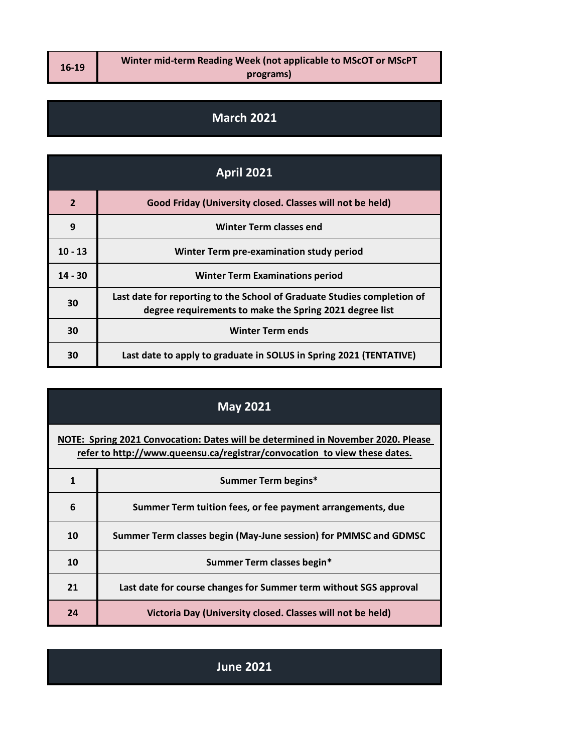**16-19**

## **March 2021**

| <b>April 2021</b> |                                                                                                                                    |
|-------------------|------------------------------------------------------------------------------------------------------------------------------------|
| $\overline{2}$    | Good Friday (University closed. Classes will not be held)                                                                          |
| 9                 | <b>Winter Term classes end</b>                                                                                                     |
| $10 - 13$         | Winter Term pre-examination study period                                                                                           |
| $14 - 30$         | <b>Winter Term Examinations period</b>                                                                                             |
| 30                | Last date for reporting to the School of Graduate Studies completion of<br>degree requirements to make the Spring 2021 degree list |
| 30                | <b>Winter Term ends</b>                                                                                                            |
| 30                | Last date to apply to graduate in SOLUS in Spring 2021 (TENTATIVE)                                                                 |

## **May 2021**

**[NOTE: Sp](http://www.queensu.ca/registrar/convocation)ring 2021 Convocation: Dates will be determined in November 2020. Please [refer](http://www.queensu.ca/registrar/convocation) to http://www.queensu.ca/registrar/convocation to view these dates.**

|    | Summer Term begins*                                               |
|----|-------------------------------------------------------------------|
| 6  | Summer Term tuition fees, or fee payment arrangements, due        |
| 10 | Summer Term classes begin (May-June session) for PMMSC and GDMSC  |
| 10 | Summer Term classes begin*                                        |
| 21 | Last date for course changes for Summer term without SGS approval |
| 24 | Victoria Day (University closed. Classes will not be held)        |

**June 2021**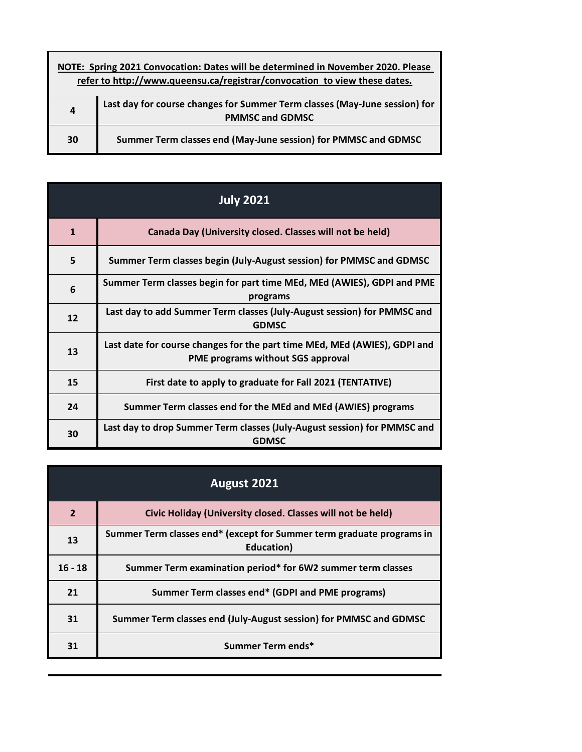| NOTE: Spring 2021 Convocation: Dates will be determined in November 2020. Please<br>refer to http://www.queensu.ca/registrar/convocation to view these dates. |                                                                                                      |  |
|---------------------------------------------------------------------------------------------------------------------------------------------------------------|------------------------------------------------------------------------------------------------------|--|
| 4                                                                                                                                                             | Last day for course changes for Summer Term classes (May-June session) for<br><b>PMMSC and GDMSC</b> |  |
| 30                                                                                                                                                            | Summer Term classes end (May-June session) for PMMSC and GDMSC                                       |  |

| <b>July 2021</b> |                                                                                                                |  |
|------------------|----------------------------------------------------------------------------------------------------------------|--|
| $\mathbf{1}$     | Canada Day (University closed. Classes will not be held)                                                       |  |
| 5                | Summer Term classes begin (July-August session) for PMMSC and GDMSC                                            |  |
| 6                | Summer Term classes begin for part time MEd, MEd (AWIES), GDPI and PME<br>programs                             |  |
| 12               | Last day to add Summer Term classes (July-August session) for PMMSC and<br><b>GDMSC</b>                        |  |
| 13               | Last date for course changes for the part time MEd, MEd (AWIES), GDPI and<br>PME programs without SGS approval |  |
| 15               | First date to apply to graduate for Fall 2021 (TENTATIVE)                                                      |  |
| 24               | Summer Term classes end for the MEd and MEd (AWIES) programs                                                   |  |
| 30               | Last day to drop Summer Term classes (July-August session) for PMMSC and<br><b>GDMSC</b>                       |  |

| August 2021    |                                                                                     |  |
|----------------|-------------------------------------------------------------------------------------|--|
| $\overline{2}$ | Civic Holiday (University closed. Classes will not be held)                         |  |
| 13             | Summer Term classes end* (except for Summer term graduate programs in<br>Education) |  |
| $16 - 18$      | Summer Term examination period* for 6W2 summer term classes                         |  |
| 21             | Summer Term classes end* (GDPI and PME programs)                                    |  |
| 31             | Summer Term classes end (July-August session) for PMMSC and GDMSC                   |  |
| 31             | Summer Term ends*                                                                   |  |